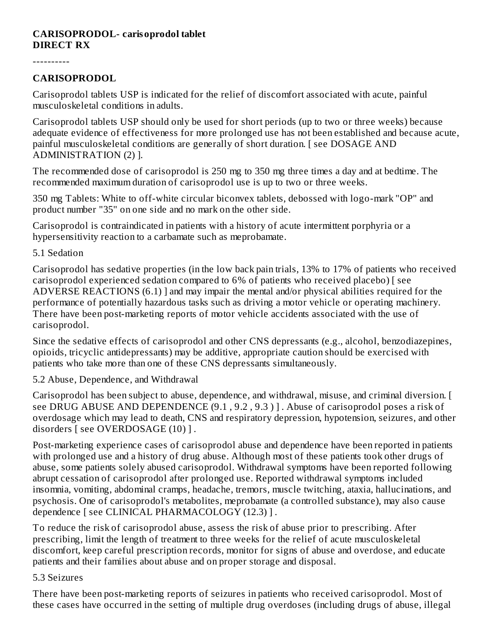#### **CARISOPRODOL- carisoprodol tablet DIRECT RX**

----------

#### **CARISOPRODOL**

Carisoprodol tablets USP is indicated for the relief of discomfort associated with acute, painful musculoskeletal conditions in adults.

Carisoprodol tablets USP should only be used for short periods (up to two or three weeks) because adequate evidence of effectiveness for more prolonged use has not been established and because acute, painful musculoskeletal conditions are generally of short duration. [ see DOSAGE AND ADMINISTRATION (2) ].

The recommended dose of carisoprodol is 250 mg to 350 mg three times a day and at bedtime. The recommended maximum duration of carisoprodol use is up to two or three weeks.

350 mg Tablets: White to off-white circular biconvex tablets, debossed with logo-mark "OP" and product number "35" on one side and no mark on the other side.

Carisoprodol is contraindicated in patients with a history of acute intermittent porphyria or a hypersensitivity reaction to a carbamate such as meprobamate.

5.1 Sedation

Carisoprodol has sedative properties (in the low back pain trials, 13% to 17% of patients who received carisoprodol experienced sedation compared to 6% of patients who received placebo) [ see ADVERSE REACTIONS (6.1) ] and may impair the mental and/or physical abilities required for the performance of potentially hazardous tasks such as driving a motor vehicle or operating machinery. There have been post-marketing reports of motor vehicle accidents associated with the use of carisoprodol.

Since the sedative effects of carisoprodol and other CNS depressants (e.g., alcohol, benzodiazepines, opioids, tricyclic antidepressants) may be additive, appropriate caution should be exercised with patients who take more than one of these CNS depressants simultaneously.

5.2 Abuse, Dependence, and Withdrawal

Carisoprodol has been subject to abuse, dependence, and withdrawal, misuse, and criminal diversion. [ see DRUG ABUSE AND DEPENDENCE (9.1 , 9.2 , 9.3 ) ] . Abuse of carisoprodol poses a risk of overdosage which may lead to death, CNS and respiratory depression, hypotension, seizures, and other disorders [ see OVERDOSAGE (10) ] .

Post-marketing experience cases of carisoprodol abuse and dependence have been reported in patients with prolonged use and a history of drug abuse. Although most of these patients took other drugs of abuse, some patients solely abused carisoprodol. Withdrawal symptoms have been reported following abrupt cessation of carisoprodol after prolonged use. Reported withdrawal symptoms included insomnia, vomiting, abdominal cramps, headache, tremors, muscle twitching, ataxia, hallucinations, and psychosis. One of carisoprodol's metabolites, meprobamate (a controlled substance), may also cause dependence [ see CLINICAL PHARMACOLOGY (12.3) ] .

To reduce the risk of carisoprodol abuse, assess the risk of abuse prior to prescribing. After prescribing, limit the length of treatment to three weeks for the relief of acute musculoskeletal discomfort, keep careful prescription records, monitor for signs of abuse and overdose, and educate patients and their families about abuse and on proper storage and disposal.

#### 5.3 Seizures

There have been post-marketing reports of seizures in patients who received carisoprodol. Most of these cases have occurred in the setting of multiple drug overdoses (including drugs of abuse, illegal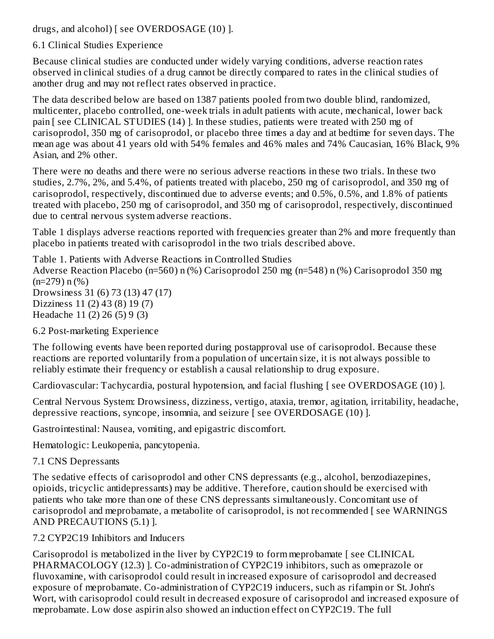drugs, and alcohol) [ see OVERDOSAGE (10) ].

## 6.1 Clinical Studies Experience

Because clinical studies are conducted under widely varying conditions, adverse reaction rates observed in clinical studies of a drug cannot be directly compared to rates in the clinical studies of another drug and may not reflect rates observed in practice.

The data described below are based on 1387 patients pooled from two double blind, randomized, multicenter, placebo controlled, one-week trials in adult patients with acute, mechanical, lower back pain [ see CLINICAL STUDIES (14) ]. In these studies, patients were treated with 250 mg of carisoprodol, 350 mg of carisoprodol, or placebo three times a day and at bedtime for seven days. The mean age was about 41 years old with 54% females and 46% males and 74% Caucasian, 16% Black, 9% Asian, and 2% other.

There were no deaths and there were no serious adverse reactions in these two trials. In these two studies, 2.7%, 2%, and 5.4%, of patients treated with placebo, 250 mg of carisoprodol, and 350 mg of carisoprodol, respectively, discontinued due to adverse events; and 0.5%, 0.5%, and 1.8% of patients treated with placebo, 250 mg of carisoprodol, and 350 mg of carisoprodol, respectively, discontinued due to central nervous system adverse reactions.

Table 1 displays adverse reactions reported with frequencies greater than 2% and more frequently than placebo in patients treated with carisoprodol in the two trials described above.

Table 1. Patients with Adverse Reactions in Controlled Studies Adverse Reaction Placebo (n=560) n (%) Carisoprodol 250 mg (n=548) n (%) Carisoprodol 350 mg  $(n=279)$  n  $(%)$ Drowsiness 31 (6) 73 (13) 47 (17) Dizziness 11 (2) 43 (8) 19 (7) Headache 11 (2) 26 (5) 9 (3)

6.2 Post-marketing Experience

The following events have been reported during postapproval use of carisoprodol. Because these reactions are reported voluntarily from a population of uncertain size, it is not always possible to reliably estimate their frequency or establish a causal relationship to drug exposure.

Cardiovascular: Tachycardia, postural hypotension, and facial flushing [ see OVERDOSAGE (10) ].

Central Nervous System: Drowsiness, dizziness, vertigo, ataxia, tremor, agitation, irritability, headache, depressive reactions, syncope, insomnia, and seizure [ see OVERDOSAGE (10) ].

Gastrointestinal: Nausea, vomiting, and epigastric discomfort.

Hematologic: Leukopenia, pancytopenia.

7.1 CNS Depressants

The sedative effects of carisoprodol and other CNS depressants (e.g., alcohol, benzodiazepines, opioids, tricyclic antidepressants) may be additive. Therefore, caution should be exercised with patients who take more than one of these CNS depressants simultaneously. Concomitant use of carisoprodol and meprobamate, a metabolite of carisoprodol, is not recommended [ see WARNINGS AND PRECAUTIONS (5.1) ].

7.2 CYP2C19 Inhibitors and Inducers

Carisoprodol is metabolized in the liver by CYP2C19 to form meprobamate [ see CLINICAL PHARMACOLOGY (12.3) ]. Co-administration of CYP2C19 inhibitors, such as omeprazole or fluvoxamine, with carisoprodol could result in increased exposure of carisoprodol and decreased exposure of meprobamate. Co-administration of CYP2C19 inducers, such as rifampin or St. John's Wort, with carisoprodol could result in decreased exposure of carisoprodol and increased exposure of meprobamate. Low dose aspirin also showed an induction effect on CYP2C19. The full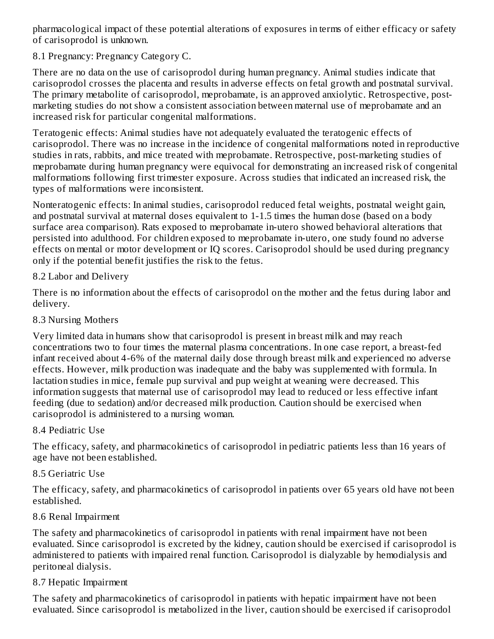pharmacological impact of these potential alterations of exposures in terms of either efficacy or safety of carisoprodol is unknown.

8.1 Pregnancy: Pregnancy Category C.

There are no data on the use of carisoprodol during human pregnancy. Animal studies indicate that carisoprodol crosses the placenta and results in adverse effects on fetal growth and postnatal survival. The primary metabolite of carisoprodol, meprobamate, is an approved anxiolytic. Retrospective, postmarketing studies do not show a consistent association between maternal use of meprobamate and an increased risk for particular congenital malformations.

Teratogenic effects: Animal studies have not adequately evaluated the teratogenic effects of carisoprodol. There was no increase in the incidence of congenital malformations noted in reproductive studies in rats, rabbits, and mice treated with meprobamate. Retrospective, post-marketing studies of meprobamate during human pregnancy were equivocal for demonstrating an increased risk of congenital malformations following first trimester exposure. Across studies that indicated an increased risk, the types of malformations were inconsistent.

Nonteratogenic effects: In animal studies, carisoprodol reduced fetal weights, postnatal weight gain, and postnatal survival at maternal doses equivalent to 1-1.5 times the human dose (based on a body surface area comparison). Rats exposed to meprobamate in-utero showed behavioral alterations that persisted into adulthood. For children exposed to meprobamate in-utero, one study found no adverse effects on mental or motor development or IQ scores. Carisoprodol should be used during pregnancy only if the potential benefit justifies the risk to the fetus.

## 8.2 Labor and Delivery

There is no information about the effects of carisoprodol on the mother and the fetus during labor and delivery.

8.3 Nursing Mothers

Very limited data in humans show that carisoprodol is present in breast milk and may reach concentrations two to four times the maternal plasma concentrations. In one case report, a breast-fed infant received about 4-6% of the maternal daily dose through breast milk and experienced no adverse effects. However, milk production was inadequate and the baby was supplemented with formula. In lactation studies in mice, female pup survival and pup weight at weaning were decreased. This information suggests that maternal use of carisoprodol may lead to reduced or less effective infant feeding (due to sedation) and/or decreased milk production. Caution should be exercised when carisoprodol is administered to a nursing woman.

## 8.4 Pediatric Use

The efficacy, safety, and pharmacokinetics of carisoprodol in pediatric patients less than 16 years of age have not been established.

## 8.5 Geriatric Use

The efficacy, safety, and pharmacokinetics of carisoprodol in patients over 65 years old have not been established.

## 8.6 Renal Impairment

The safety and pharmacokinetics of carisoprodol in patients with renal impairment have not been evaluated. Since carisoprodol is excreted by the kidney, caution should be exercised if carisoprodol is administered to patients with impaired renal function. Carisoprodol is dialyzable by hemodialysis and peritoneal dialysis.

## 8.7 Hepatic Impairment

The safety and pharmacokinetics of carisoprodol in patients with hepatic impairment have not been evaluated. Since carisoprodol is metabolized in the liver, caution should be exercised if carisoprodol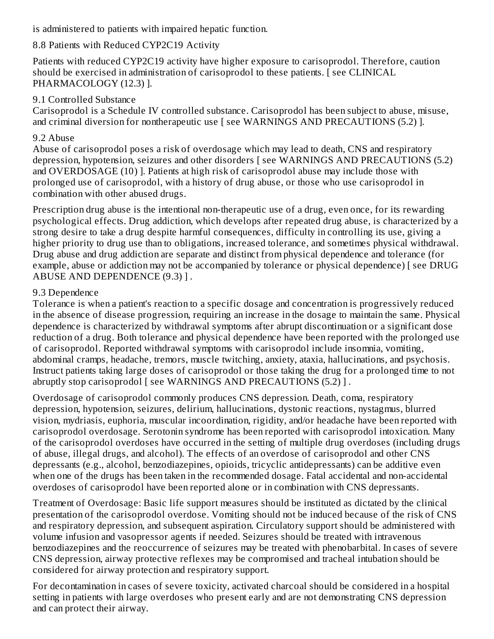is administered to patients with impaired hepatic function.

## 8.8 Patients with Reduced CYP2C19 Activity

Patients with reduced CYP2C19 activity have higher exposure to carisoprodol. Therefore, caution should be exercised in administration of carisoprodol to these patients. [ see CLINICAL PHARMACOLOGY (12.3) ].

### 9.1 Controlled Substance

Carisoprodol is a Schedule IV controlled substance. Carisoprodol has been subject to abuse, misuse, and criminal diversion for nontherapeutic use [ see WARNINGS AND PRECAUTIONS (5.2) ].

#### 9.2 Abuse

Abuse of carisoprodol poses a risk of overdosage which may lead to death, CNS and respiratory depression, hypotension, seizures and other disorders [ see WARNINGS AND PRECAUTIONS (5.2) and OVERDOSAGE (10) ]. Patients at high risk of carisoprodol abuse may include those with prolonged use of carisoprodol, with a history of drug abuse, or those who use carisoprodol in combination with other abused drugs.

Prescription drug abuse is the intentional non-therapeutic use of a drug, even once, for its rewarding psychological effects. Drug addiction, which develops after repeated drug abuse, is characterized by a strong desire to take a drug despite harmful consequences, difficulty in controlling its use, giving a higher priority to drug use than to obligations, increased tolerance, and sometimes physical withdrawal. Drug abuse and drug addiction are separate and distinct from physical dependence and tolerance (for example, abuse or addiction may not be accompanied by tolerance or physical dependence) [ see DRUG ABUSE AND DEPENDENCE (9.3) ] .

### 9.3 Dependence

Tolerance is when a patient's reaction to a specific dosage and concentration is progressively reduced in the absence of disease progression, requiring an increase in the dosage to maintain the same. Physical dependence is characterized by withdrawal symptoms after abrupt discontinuation or a significant dose reduction of a drug. Both tolerance and physical dependence have been reported with the prolonged use of carisoprodol. Reported withdrawal symptoms with carisoprodol include insomnia, vomiting, abdominal cramps, headache, tremors, muscle twitching, anxiety, ataxia, hallucinations, and psychosis. Instruct patients taking large doses of carisoprodol or those taking the drug for a prolonged time to not abruptly stop carisoprodol [ see WARNINGS AND PRECAUTIONS (5.2) ].

Overdosage of carisoprodol commonly produces CNS depression. Death, coma, respiratory depression, hypotension, seizures, delirium, hallucinations, dystonic reactions, nystagmus, blurred vision, mydriasis, euphoria, muscular incoordination, rigidity, and/or headache have been reported with carisoprodol overdosage. Serotonin syndrome has been reported with carisoprodol intoxication. Many of the carisoprodol overdoses have occurred in the setting of multiple drug overdoses (including drugs of abuse, illegal drugs, and alcohol). The effects of an overdose of carisoprodol and other CNS depressants (e.g., alcohol, benzodiazepines, opioids, tricyclic antidepressants) can be additive even when one of the drugs has been taken in the recommended dosage. Fatal accidental and non-accidental overdoses of carisoprodol have been reported alone or in combination with CNS depressants.

Treatment of Overdosage: Basic life support measures should be instituted as dictated by the clinical presentation of the carisoprodol overdose. Vomiting should not be induced because of the risk of CNS and respiratory depression, and subsequent aspiration. Circulatory support should be administered with volume infusion and vasopressor agents if needed. Seizures should be treated with intravenous benzodiazepines and the reoccurrence of seizures may be treated with phenobarbital. In cases of severe CNS depression, airway protective reflexes may be compromised and tracheal intubation should be considered for airway protection and respiratory support.

For decontamination in cases of severe toxicity, activated charcoal should be considered in a hospital setting in patients with large overdoses who present early and are not demonstrating CNS depression and can protect their airway.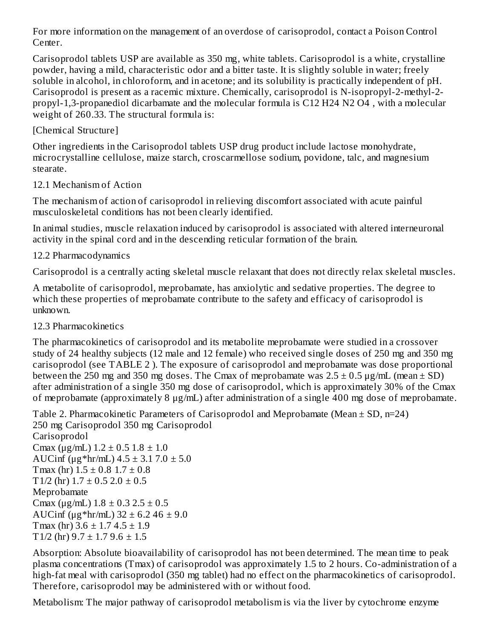For more information on the management of an overdose of carisoprodol, contact a Poison Control Center.

Carisoprodol tablets USP are available as 350 mg, white tablets. Carisoprodol is a white, crystalline powder, having a mild, characteristic odor and a bitter taste. It is slightly soluble in water; freely soluble in alcohol, in chloroform, and in acetone; and its solubility is practically independent of pH. Carisoprodol is present as a racemic mixture. Chemically, carisoprodol is N-isopropyl-2-methyl-2 propyl-1,3-propanediol dicarbamate and the molecular formula is C12 H24 N2 O4 , with a molecular weight of 260.33. The structural formula is:

## [Chemical Structure]

Other ingredients in the Carisoprodol tablets USP drug product include lactose monohydrate, microcrystalline cellulose, maize starch, croscarmellose sodium, povidone, talc, and magnesium stearate.

## 12.1 Mechanism of Action

The mechanism of action of carisoprodol in relieving discomfort associated with acute painful musculoskeletal conditions has not been clearly identified.

In animal studies, muscle relaxation induced by carisoprodol is associated with altered interneuronal activity in the spinal cord and in the descending reticular formation of the brain.

# 12.2 Pharmacodynamics

Carisoprodol is a centrally acting skeletal muscle relaxant that does not directly relax skeletal muscles.

A metabolite of carisoprodol, meprobamate, has anxiolytic and sedative properties. The degree to which these properties of meprobamate contribute to the safety and efficacy of carisoprodol is unknown.

## 12.3 Pharmacokinetics

The pharmacokinetics of carisoprodol and its metabolite meprobamate were studied in a crossover study of 24 healthy subjects (12 male and 12 female) who received single doses of 250 mg and 350 mg carisoprodol (see TABLE 2 ). The exposure of carisoprodol and meprobamate was dose proportional between the 250 mg and 350 mg doses. The Cmax of meprobamate was  $2.5 \pm 0.5$  µg/mL (mean  $\pm$  SD) after administration of a single 350 mg dose of carisoprodol, which is approximately 30% of the Cmax of meprobamate (approximately 8 μg/mL) after administration of a single 400 mg dose of meprobamate.

```
Table 2. Pharmacokinetic Parameters of Carisoprodol and Meprobamate (Mean ± SD, n=24)
250 mg Carisoprodol 350 mg Carisoprodol
Carisoprodol
Cmax (\mug/mL) 1.2 \pm 0.5 1.8 \pm 1.0AUCinf (\mug*hr/mL) 4.5 ± 3.1 7.0 ± 5.0
Tmax (hr) 1.5 \pm 0.8 1.7 \pm 0.8T1/2 (hr) 1.7 \pm 0.5 2.0 \pm 0.5Meprobamate
Cmax (\mug/mL) 1.8 \pm 0.3 2.5 \pm 0.5AUCinf (\mug*hr/mL) 32 ± 6.2 46 ± 9.0
Tmax (hr) 3.6 \pm 1.7 4.5 \pm 1.9T1/2 (hr) 9.7 \pm 1.7 9.6 \pm 1.5
```
Absorption: Absolute bioavailability of carisoprodol has not been determined. The mean time to peak plasma concentrations (Tmax) of carisoprodol was approximately 1.5 to 2 hours. Co-administration of a high-fat meal with carisoprodol (350 mg tablet) had no effect on the pharmacokinetics of carisoprodol. Therefore, carisoprodol may be administered with or without food.

Metabolism: The major pathway of carisoprodol metabolism is via the liver by cytochrome enzyme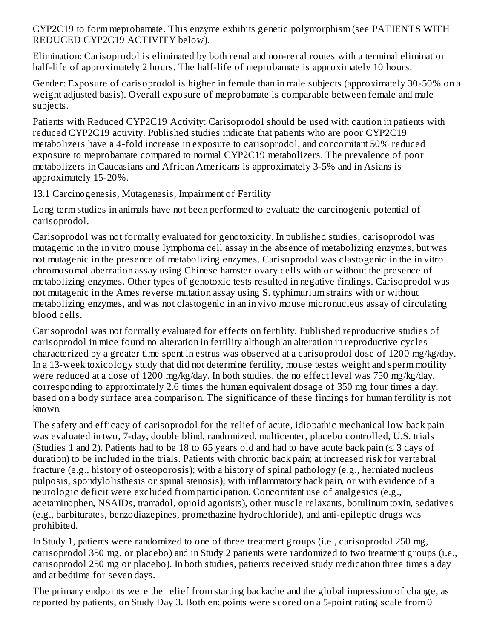CYP2C19 to form meprobamate. This enzyme exhibits genetic polymorphism (see PATIENTS WITH REDUCED CYP2C19 ACTIVITY below).

Elimination: Carisoprodol is eliminated by both renal and non-renal routes with a terminal elimination half-life of approximately 2 hours. The half-life of meprobamate is approximately 10 hours.

Gender: Exposure of carisoprodol is higher in female than in male subjects (approximately 30-50% on a weight adjusted basis). Overall exposure of meprobamate is comparable between female and male subjects.

Patients with Reduced CYP2C19 Activity: Carisoprodol should be used with caution in patients with reduced CYP2C19 activity. Published studies indicate that patients who are poor CYP2C19 metabolizers have a 4-fold increase in exposure to carisoprodol, and concomitant 50% reduced exposure to meprobamate compared to normal CYP2C19 metabolizers. The prevalence of poor metabolizers in Caucasians and African Americans is approximately 3-5% and in Asians is approximately 15-20%.

13.1 Carcinogenesis, Mutagenesis, Impairment of Fertility

Long term studies in animals have not been performed to evaluate the carcinogenic potential of carisoprodol.

Carisoprodol was not formally evaluated for genotoxicity. In published studies, carisoprodol was mutagenic in the in vitro mouse lymphoma cell assay in the absence of metabolizing enzymes, but was not mutagenic in the presence of metabolizing enzymes. Carisoprodol was clastogenic in the in vitro chromosomal aberration assay using Chinese hamster ovary cells with or without the presence of metabolizing enzymes. Other types of genotoxic tests resulted in negative findings. Carisoprodol was not mutagenic in the Ames reverse mutation assay using S. typhimurium strains with or without metabolizing enzymes, and was not clastogenic in an in vivo mouse micronucleus assay of circulating blood cells.

Carisoprodol was not formally evaluated for effects on fertility. Published reproductive studies of carisoprodol in mice found no alteration in fertility although an alteration in reproductive cycles characterized by a greater time spent in estrus was observed at a carisoprodol dose of 1200 mg/kg/day. In a 13-week toxicology study that did not determine fertility, mouse testes weight and sperm motility were reduced at a dose of 1200 mg/kg/day. In both studies, the no effect level was 750 mg/kg/day, corresponding to approximately 2.6 times the human equivalent dosage of 350 mg four times a day, based on a body surface area comparison. The significance of these findings for human fertility is not known.

The safety and efficacy of carisoprodol for the relief of acute, idiopathic mechanical low back pain was evaluated in two, 7-day, double blind, randomized, multicenter, placebo controlled, U.S. trials (Studies 1 and 2). Patients had to be 18 to 65 years old and had to have acute back pain ( $\leq$  3 days of duration) to be included in the trials. Patients with chronic back pain; at increased risk for vertebral fracture (e.g., history of osteoporosis); with a history of spinal pathology (e.g., herniated nucleus pulposis, spondylolisthesis or spinal stenosis); with inflammatory back pain, or with evidence of a neurologic deficit were excluded from participation. Concomitant use of analgesics (e.g., acetaminophen, NSAIDs, tramadol, opioid agonists), other muscle relaxants, botulinum toxin, sedatives (e.g., barbiturates, benzodiazepines, promethazine hydrochloride), and anti-epileptic drugs was prohibited.

In Study 1, patients were randomized to one of three treatment groups (i.e., carisoprodol 250 mg, carisoprodol 350 mg, or placebo) and in Study 2 patients were randomized to two treatment groups (i.e., carisoprodol 250 mg or placebo). In both studies, patients received study medication three times a day and at bedtime for seven days.

The primary endpoints were the relief from starting backache and the global impression of change, as reported by patients, on Study Day 3. Both endpoints were scored on a 5-point rating scale from 0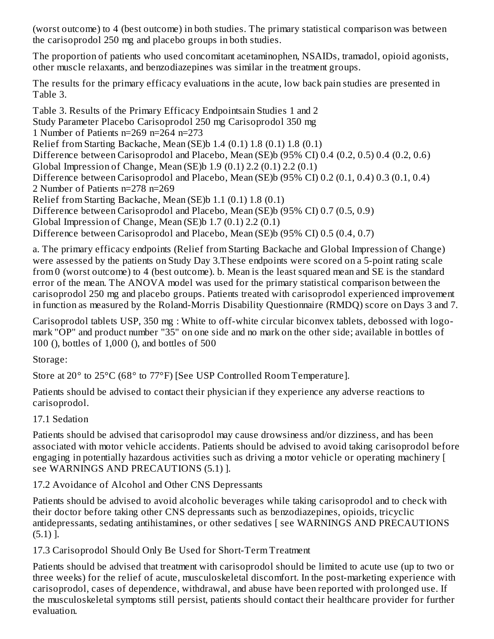(worst outcome) to 4 (best outcome) in both studies. The primary statistical comparison was between the carisoprodol 250 mg and placebo groups in both studies.

The proportion of patients who used concomitant acetaminophen, NSAIDs, tramadol, opioid agonists, other muscle relaxants, and benzodiazepines was similar in the treatment groups.

The results for the primary efficacy evaluations in the acute, low back pain studies are presented in Table 3.

Table 3. Results of the Primary Efficacy Endpointsain Studies 1 and 2 Study Parameter Placebo Carisoprodol 250 mg Carisoprodol 350 mg 1 Number of Patients n=269 n=264 n=273 Relief from Starting Backache, Mean (SE)b 1.4 (0.1) 1.8 (0.1) 1.8 (0.1) Difference between Carisoprodol and Placebo, Mean (SE)b (95% CI) 0.4 (0.2, 0.5) 0.4 (0.2, 0.6) Global Impression of Change, Mean (SE)b 1.9 (0.1) 2.2 (0.1) 2.2 (0.1) Difference between Carisoprodol and Placebo, Mean (SE)b (95% CI) 0.2 (0.1, 0.4) 0.3 (0.1, 0.4) 2 Number of Patients n=278 n=269 Relief from Starting Backache, Mean (SE)b 1.1 (0.1) 1.8 (0.1) Difference between Carisoprodol and Placebo, Mean (SE)b (95% CI) 0.7 (0.5, 0.9) Global Impression of Change, Mean (SE)b 1.7 (0.1) 2.2 (0.1) Difference between Carisoprodol and Placebo, Mean (SE)b (95% CI) 0.5 (0.4, 0.7)

a. The primary efficacy endpoints (Relief from Starting Backache and Global Impression of Change) were assessed by the patients on Study Day 3.These endpoints were scored on a 5-point rating scale from 0 (worst outcome) to 4 (best outcome). b. Mean is the least squared mean and SE is the standard error of the mean. The ANOVA model was used for the primary statistical comparison between the carisoprodol 250 mg and placebo groups. Patients treated with carisoprodol experienced improvement in function as measured by the Roland-Morris Disability Questionnaire (RMDQ) score on Days 3 and 7.

Carisoprodol tablets USP, 350 mg : White to off-white circular biconvex tablets, debossed with logomark "OP" and product number "35" on one side and no mark on the other side; available in bottles of 100 (), bottles of 1,000 (), and bottles of 500

Storage:

Store at 20° to 25°C (68° to 77°F) [See USP Controlled Room Temperature].

Patients should be advised to contact their physician if they experience any adverse reactions to carisoprodol.

17.1 Sedation

Patients should be advised that carisoprodol may cause drowsiness and/or dizziness, and has been associated with motor vehicle accidents. Patients should be advised to avoid taking carisoprodol before engaging in potentially hazardous activities such as driving a motor vehicle or operating machinery [ see WARNINGS AND PRECAUTIONS (5.1) ].

17.2 Avoidance of Alcohol and Other CNS Depressants

Patients should be advised to avoid alcoholic beverages while taking carisoprodol and to check with their doctor before taking other CNS depressants such as benzodiazepines, opioids, tricyclic antidepressants, sedating antihistamines, or other sedatives [ see WARNINGS AND PRECAUTIONS (5.1) ].

17.3 Carisoprodol Should Only Be Used for Short-Term Treatment

Patients should be advised that treatment with carisoprodol should be limited to acute use (up to two or three weeks) for the relief of acute, musculoskeletal discomfort. In the post-marketing experience with carisoprodol, cases of dependence, withdrawal, and abuse have been reported with prolonged use. If the musculoskeletal symptoms still persist, patients should contact their healthcare provider for further evaluation.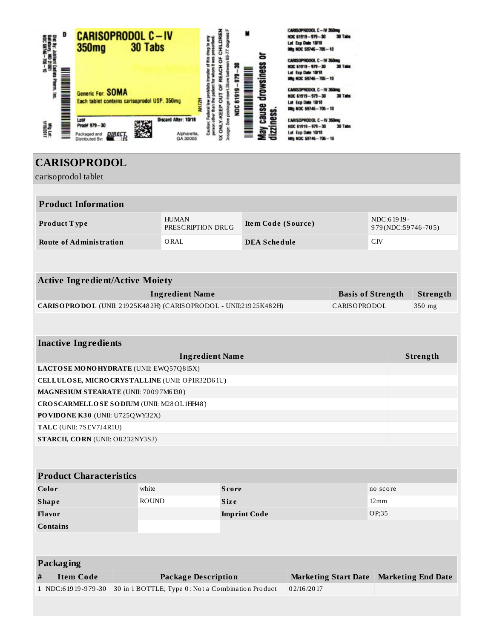

# **CARISOPRODOL**

L

| carisoprodol tablet                             |                                                                                  |                                                                 |                     |                            |                             |            |                           |  |  |
|-------------------------------------------------|----------------------------------------------------------------------------------|-----------------------------------------------------------------|---------------------|----------------------------|-----------------------------|------------|---------------------------|--|--|
| <b>Product Information</b>                      |                                                                                  |                                                                 |                     |                            |                             |            |                           |  |  |
| Product Type                                    |                                                                                  | <b>HUMAN</b><br>PRESCRIPTION DRUG                               | Item Code (Source)  |                            |                             | NDC:61919- | 979(NDC:59746-705)        |  |  |
| <b>Route of Administration</b>                  |                                                                                  | ORAL                                                            |                     | <b>DEA Schedule</b><br>CIV |                             |            |                           |  |  |
|                                                 |                                                                                  |                                                                 |                     |                            |                             |            |                           |  |  |
| <b>Active Ingredient/Active Moiety</b>          |                                                                                  |                                                                 |                     |                            |                             |            |                           |  |  |
| <b>Ingredient Name</b>                          |                                                                                  |                                                                 |                     |                            | <b>Basis of Strength</b>    | Strength   |                           |  |  |
|                                                 | CARISOPRODOL (UNII: 21925K482H) (CARISOPRODOL - UNII:21925K482H)<br>CARISOPRODOL |                                                                 |                     |                            |                             | 350 mg     |                           |  |  |
|                                                 |                                                                                  |                                                                 |                     |                            |                             |            |                           |  |  |
| <b>Inactive Ingredients</b>                     |                                                                                  |                                                                 |                     |                            |                             |            |                           |  |  |
| <b>Ingredient Name</b>                          |                                                                                  |                                                                 |                     |                            |                             | Strength   |                           |  |  |
|                                                 | LACTOSE MONOHYDRATE (UNII: EWQ57Q8I5X)                                           |                                                                 |                     |                            |                             |            |                           |  |  |
| CELLULOSE, MICRO CRYSTALLINE (UNII: OP1R32D61U) |                                                                                  |                                                                 |                     |                            |                             |            |                           |  |  |
| MAGNESIUM STEARATE (UNII: 70097M6I30)           |                                                                                  |                                                                 |                     |                            |                             |            |                           |  |  |
| CROSCARMELLOSE SODIUM (UNII: M28OL1HH48)        |                                                                                  |                                                                 |                     |                            |                             |            |                           |  |  |
| PO VIDO NE K30 (UNII: U725QWY32X)               |                                                                                  |                                                                 |                     |                            |                             |            |                           |  |  |
| TALC (UNII: 7SEV7J4R1U)                         |                                                                                  |                                                                 |                     |                            |                             |            |                           |  |  |
| STARCH, CORN (UNII: O8232NY3SJ)                 |                                                                                  |                                                                 |                     |                            |                             |            |                           |  |  |
|                                                 |                                                                                  |                                                                 |                     |                            |                             |            |                           |  |  |
| <b>Product Characteristics</b>                  |                                                                                  |                                                                 |                     |                            |                             |            |                           |  |  |
| Color                                           | white                                                                            |                                                                 | <b>Score</b>        |                            | no score                    |            |                           |  |  |
| <b>Shape</b>                                    | <b>ROUND</b>                                                                     |                                                                 | <b>Size</b>         |                            | $12 \,\mathrm{mm}$          |            |                           |  |  |
| Flavor                                          |                                                                                  |                                                                 | <b>Imprint Code</b> |                            |                             | OP;35      |                           |  |  |
| <b>Contains</b>                                 |                                                                                  |                                                                 |                     |                            |                             |            |                           |  |  |
|                                                 |                                                                                  |                                                                 |                     |                            |                             |            |                           |  |  |
| Packaging                                       |                                                                                  |                                                                 |                     |                            |                             |            |                           |  |  |
| <b>Item Code</b><br>$\#$                        |                                                                                  | <b>Package Description</b>                                      |                     |                            | <b>Marketing Start Date</b> |            | <b>Marketing End Date</b> |  |  |
| 1 NDC:61919-979-30                              |                                                                                  | 30 in 1 BOTTLE; Type 0: Not a Combination Product<br>02/16/2017 |                     |                            |                             |            |                           |  |  |
|                                                 |                                                                                  |                                                                 |                     |                            |                             |            |                           |  |  |